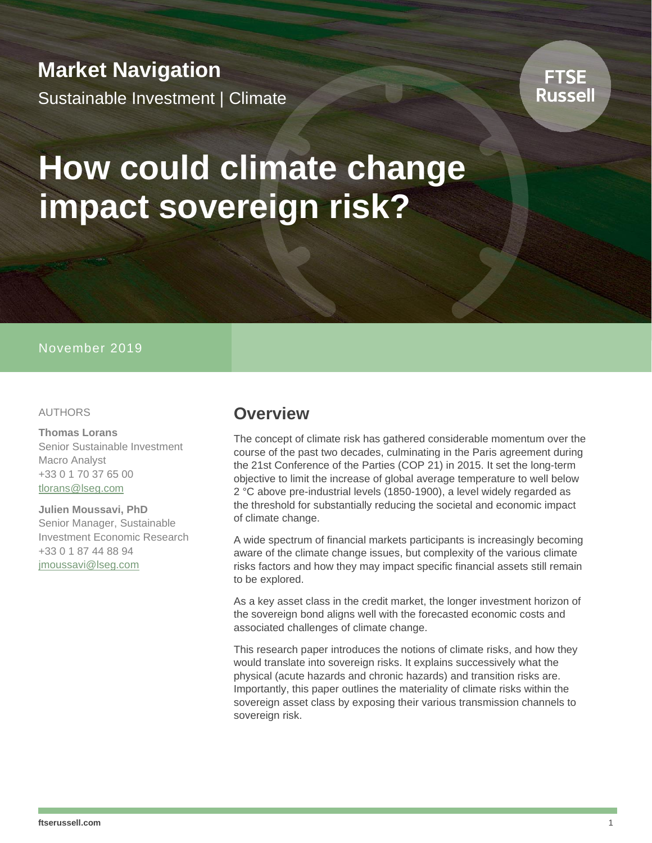## **Market Navigation**

Sustainable Investment | Climate



# **How could climate change impact sovereign risk?**

#### November 2019

#### AUTHORS

**Thomas Lorans** Senior Sustainable Investment Macro Analyst +33 0 1 70 37 65 00 [tlorans@lseg.com](mailto:tlorans@lseg.com)

**Julien Moussavi, PhD** Senior Manager, Sustainable Investment Economic Research +33 0 1 87 44 88 94 [jmoussavi@lseg.com](mailto:jmoussavi@lseg.com)

#### **Overview**

The concept of climate risk has gathered considerable momentum over the course of the past two decades, culminating in the Paris agreement during the 21st Conference of the Parties (COP 21) in 2015. It set the long-term objective to limit the increase of global average temperature to well below 2 °C above pre-industrial levels (1850-1900), a level widely regarded as the threshold for substantially reducing the societal and economic impact of climate change.

A wide spectrum of financial markets participants is increasingly becoming aware of the climate change issues, but complexity of the various climate risks factors and how they may impact specific financial assets still remain to be explored.

As a key asset class in the credit market, the longer investment horizon of the sovereign bond aligns well with the forecasted economic costs and associated challenges of climate change.

This research paper introduces the notions of climate risks, and how they would translate into sovereign risks. It explains successively what the physical (acute hazards and chronic hazards) and transition risks are. Importantly, this paper outlines the materiality of climate risks within the sovereign asset class by exposing their various transmission channels to sovereign risk.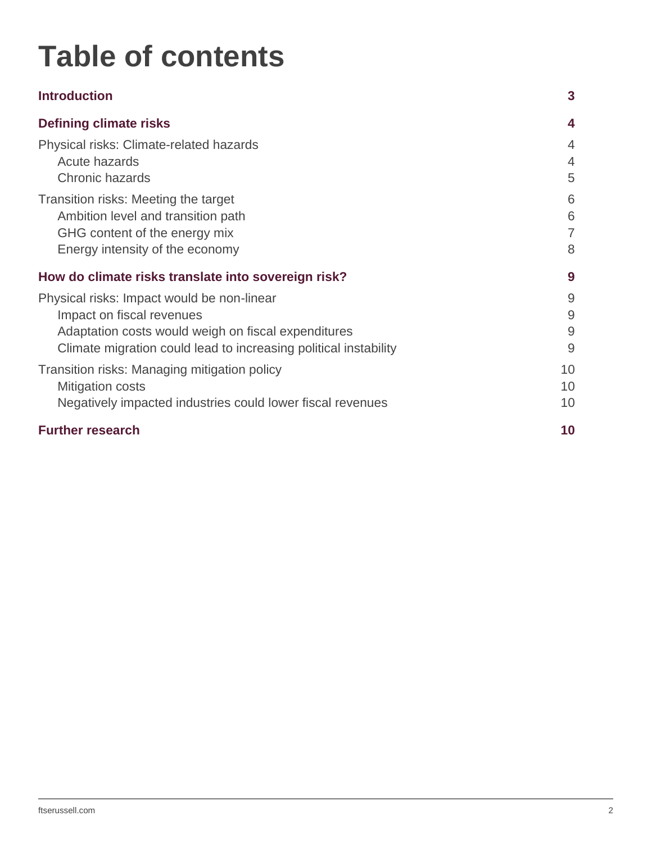## **Table of contents**

| <b>Introduction</b>                                              | 3  |
|------------------------------------------------------------------|----|
| <b>Defining climate risks</b>                                    | 4  |
| Physical risks: Climate-related hazards                          | 4  |
| Acute hazards                                                    | 4  |
| Chronic hazards                                                  | 5  |
| Transition risks: Meeting the target                             | 6  |
| Ambition level and transition path                               | 6  |
| GHG content of the energy mix                                    | 7  |
| Energy intensity of the economy                                  | 8  |
| How do climate risks translate into sovereign risk?              | 9  |
| Physical risks: Impact would be non-linear                       | 9  |
| Impact on fiscal revenues                                        | 9  |
| Adaptation costs would weigh on fiscal expenditures              | 9  |
| Climate migration could lead to increasing political instability | 9  |
| Transition risks: Managing mitigation policy                     | 10 |
| <b>Mitigation costs</b>                                          | 10 |
| Negatively impacted industries could lower fiscal revenues       | 10 |
| <b>Further research</b>                                          | 10 |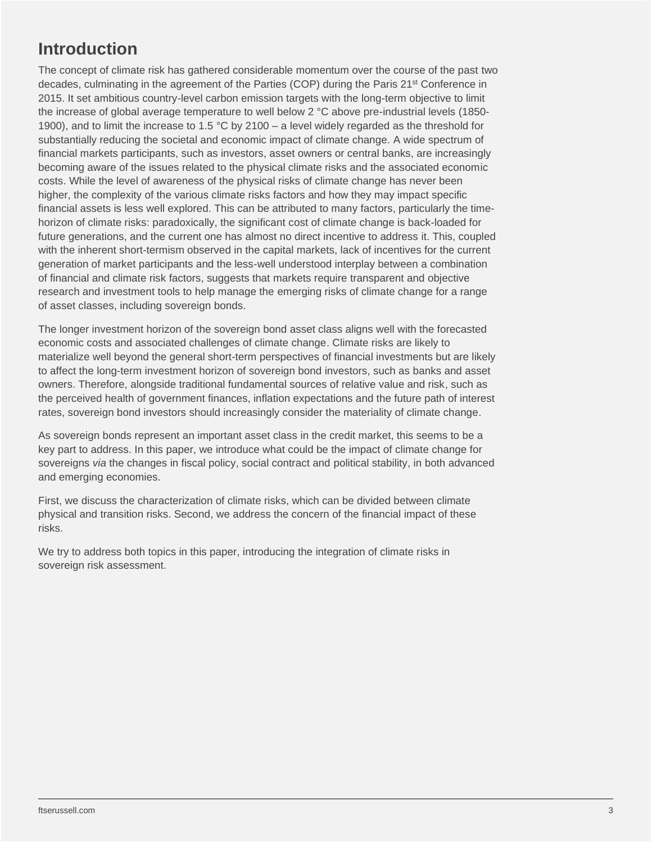## <span id="page-2-0"></span>**Introduction**

The concept of climate risk has gathered considerable momentum over the course of the past two decades, culminating in the agreement of the Parties (COP) during the Paris 21<sup>st</sup> Conference in 2015. It set ambitious country-level carbon emission targets with the long-term objective to limit the increase of global average temperature to well below 2 °C above pre-industrial levels (1850- 1900), and to limit the increase to 1.5 °C by 2100 – a level widely regarded as the threshold for substantially reducing the societal and economic impact of climate change. A wide spectrum of financial markets participants, such as investors, asset owners or central banks, are increasingly becoming aware of the issues related to the physical climate risks and the associated economic costs. While the level of awareness of the physical risks of climate change has never been higher, the complexity of the various climate risks factors and how they may impact specific financial assets is less well explored. This can be attributed to many factors, particularly the timehorizon of climate risks: paradoxically, the significant cost of climate change is back-loaded for future generations, and the current one has almost no direct incentive to address it. This, coupled with the inherent short-termism observed in the capital markets, lack of incentives for the current generation of market participants and the less-well understood interplay between a combination of financial and climate risk factors, suggests that markets require transparent and objective research and investment tools to help manage the emerging risks of climate change for a range of asset classes, including sovereign bonds.

The longer investment horizon of the sovereign bond asset class aligns well with the forecasted economic costs and associated challenges of climate change. Climate risks are likely to materialize well beyond the general short-term perspectives of financial investments but are likely to affect the long-term investment horizon of sovereign bond investors, such as banks and asset owners. Therefore, alongside traditional fundamental sources of relative value and risk, such as the perceived health of government finances, inflation expectations and the future path of interest rates, sovereign bond investors should increasingly consider the materiality of climate change.

As sovereign bonds represent an important asset class in the credit market, this seems to be a key part to address. In this paper, we introduce what could be the impact of climate change for sovereigns *via* the changes in fiscal policy, social contract and political stability, in both advanced and emerging economies.

First, we discuss the characterization of climate risks, which can be divided between climate physical and transition risks. Second, we address the concern of the financial impact of these risks.

We try to address both topics in this paper, introducing the integration of climate risks in sovereign risk assessment.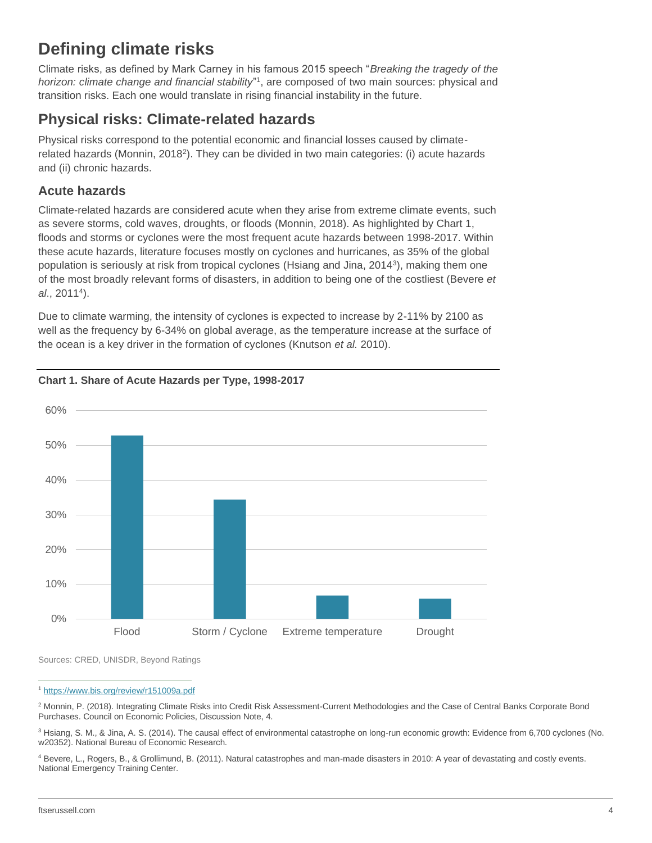## <span id="page-3-0"></span>**Defining climate risks**

Climate risks, as defined by Mark Carney in his famous 2015 speech "*Breaking the tragedy of the*  horizon: climate change and financial stability<sup>"1</sup>, are composed of two main sources: physical and transition risks. Each one would translate in rising financial instability in the future.

#### <span id="page-3-1"></span>**Physical risks: Climate-related hazards**

Physical risks correspond to the potential economic and financial losses caused by climaterelated hazards (Monnin, 2018<sup>2</sup>). They can be divided in two main categories: (i) acute hazards and (ii) chronic hazards.

#### <span id="page-3-2"></span>**Acute hazards**

Climate-related hazards are considered acute when they arise from extreme climate events, such as severe storms, cold waves, droughts, or floods (Monnin, 2018). As highlighted by Chart 1, floods and storms or cyclones were the most frequent acute hazards between 1998-2017. Within these acute hazards, literature focuses mostly on cyclones and hurricanes, as 35% of the global population is seriously at risk from tropical cyclones (Hsiang and Jina, 2014<sup>3</sup> ), making them one of the most broadly relevant forms of disasters, in addition to being one of the costliest (Bevere *et al*., 2011<sup>4</sup> ).

Due to climate warming, the intensity of cyclones is expected to increase by 2-11% by 2100 as well as the frequency by 6-34% on global average, as the temperature increase at the surface of the ocean is a key driver in the formation of cyclones (Knutson *et al.* 2010).





Sources: CRED, UNISDR, Beyond Ratings

<sup>3</sup> Hsiang, S. M., & Jina, A. S. (2014). The causal effect of environmental catastrophe on long-run economic growth: Evidence from 6,700 cyclones (No. w20352). National Bureau of Economic Research.

<sup>4</sup> Bevere, L., Rogers, B., & Grollimund, B. (2011). Natural catastrophes and man-made disasters in 2010: A year of devastating and costly events. National Emergency Training Center.

<sup>1</sup> <https://www.bis.org/review/r151009a.pdf>

<sup>&</sup>lt;sup>2</sup> Monnin, P. (2018). Integrating Climate Risks into Credit Risk Assessment-Current Methodologies and the Case of Central Banks Corporate Bond Purchases. Council on Economic Policies, Discussion Note, 4.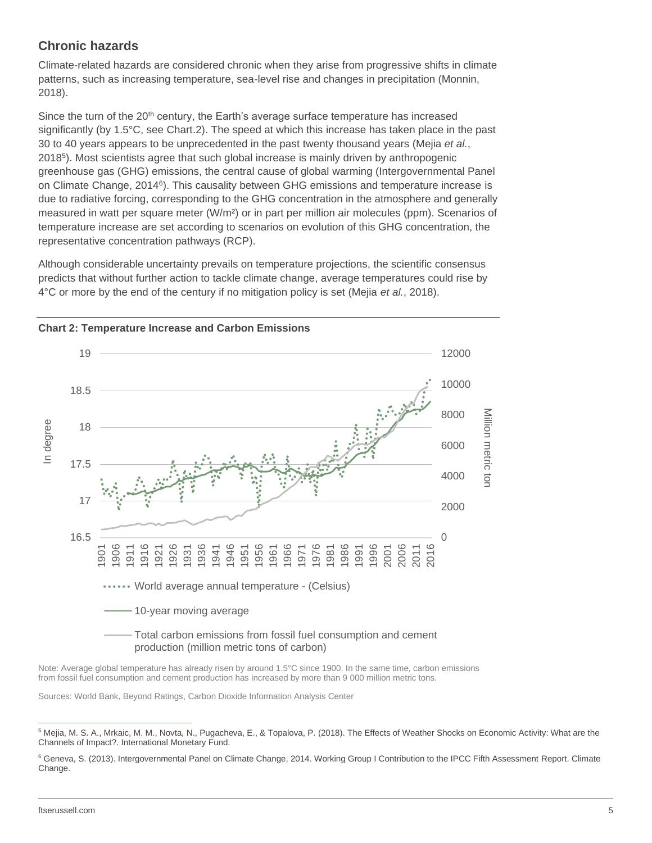#### <span id="page-4-0"></span>**Chronic hazards**

Climate-related hazards are considered chronic when they arise from progressive shifts in climate patterns, such as increasing temperature, sea-level rise and changes in precipitation (Monnin, 2018).

Since the turn of the 20<sup>th</sup> century, the Earth's average surface temperature has increased significantly (by 1.5°C, see Chart.2). The speed at which this increase has taken place in the past 30 to 40 years appears to be unprecedented in the past twenty thousand years (Mejia *et al.*, 2018<sup>5</sup> ). Most scientists agree that such global increase is mainly driven by anthropogenic greenhouse gas (GHG) emissions, the central cause of global warming (Intergovernmental Panel on Climate Change, 2014<sup>6</sup>). This causality between GHG emissions and temperature increase is due to radiative forcing, corresponding to the GHG concentration in the atmosphere and generally measured in watt per square meter (W/m²) or in part per million air molecules (ppm). Scenarios of temperature increase are set according to scenarios on evolution of this GHG concentration, the representative concentration pathways (RCP).

Although considerable uncertainty prevails on temperature projections, the scientific consensus predicts that without further action to tackle climate change, average temperatures could rise by 4°C or more by the end of the century if no mitigation policy is set (Mejia *et al.*, 2018).



**Chart 2: Temperature Increase and Carbon Emissions**

Note: Average global temperature has already risen by around 1.5°C since 1900. In the same time, carbon emissions from fossil fuel consumption and cement production has increased by more than 9 000 million metric tons.

Sources: World Bank, Beyond Ratings, Carbon Dioxide Information Analysis Center

<sup>5</sup> Mejia, M. S. A., Mrkaic, M. M., Novta, N., Pugacheva, E., & Topalova, P. (2018). The Effects of Weather Shocks on Economic Activity: What are the Channels of Impact?. International Monetary Fund.

<sup>&</sup>lt;sup>6</sup> Geneva, S. (2013). Intergovernmental Panel on Climate Change, 2014. Working Group I Contribution to the IPCC Fifth Assessment Report. Climate Change.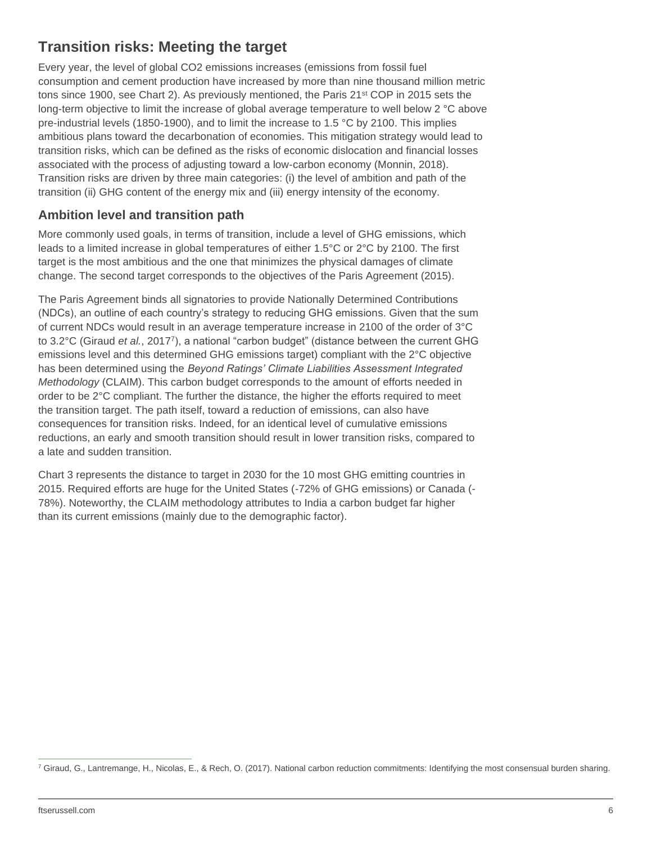### <span id="page-5-0"></span>**Transition risks: Meeting the target**

Every year, the level of global CO2 emissions increases (emissions from fossil fuel consumption and cement production have increased by more than nine thousand million metric tons since 1900, see Chart 2). As previously mentioned, the Paris 21<sup>st</sup> COP in 2015 sets the long-term objective to limit the increase of global average temperature to well below 2 °C above pre-industrial levels (1850-1900), and to limit the increase to 1.5 °C by 2100. This implies ambitious plans toward the decarbonation of economies. This mitigation strategy would lead to transition risks, which can be defined as the risks of economic dislocation and financial losses associated with the process of adjusting toward a low-carbon economy (Monnin, 2018). Transition risks are driven by three main categories: (i) the level of ambition and path of the transition (ii) GHG content of the energy mix and (iii) energy intensity of the economy.

#### <span id="page-5-1"></span>**Ambition level and transition path**

More commonly used goals, in terms of transition, include a level of GHG emissions, which leads to a limited increase in global temperatures of either 1.5°C or 2°C by 2100. The first target is the most ambitious and the one that minimizes the physical damages of climate change. The second target corresponds to the objectives of the Paris Agreement (2015).

The Paris Agreement binds all signatories to provide Nationally Determined Contributions (NDCs), an outline of each country's strategy to reducing GHG emissions. Given that the sum of current NDCs would result in an average temperature increase in 2100 of the order of 3°C to 3.2°C (Giraud *et al.*, 2017<sup>7</sup>), a national "carbon budget" (distance between the current GHG emissions level and this determined GHG emissions target) compliant with the 2°C objective has been determined using the *Beyond Ratings' Climate Liabilities Assessment Integrated Methodology* (CLAIM). This carbon budget corresponds to the amount of efforts needed in order to be 2°C compliant. The further the distance, the higher the efforts required to meet the transition target. The path itself, toward a reduction of emissions, can also have consequences for transition risks. Indeed, for an identical level of cumulative emissions reductions, an early and smooth transition should result in lower transition risks, compared to a late and sudden transition.

Chart 3 represents the distance to target in 2030 for the 10 most GHG emitting countries in 2015. Required efforts are huge for the United States (-72% of GHG emissions) or Canada (- 78%). Noteworthy, the CLAIM methodology attributes to India a carbon budget far higher than its current emissions (mainly due to the demographic factor).

<sup>7</sup> Giraud, G., Lantremange, H., Nicolas, E., & Rech, O. (2017). National carbon reduction commitments: Identifying the most consensual burden sharing.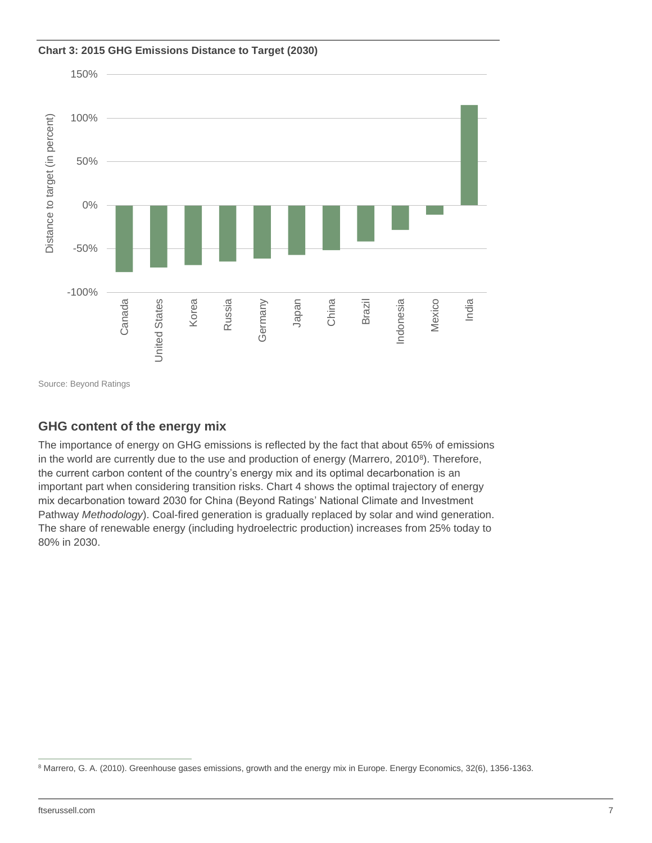



Source: Beyond Ratings

#### <span id="page-6-0"></span>**GHG content of the energy mix**

The importance of energy on GHG emissions is reflected by the fact that about 65% of emissions in the world are currently due to the use and production of energy (Marrero, 2010<sup>8</sup>). Therefore, the current carbon content of the country's energy mix and its optimal decarbonation is an important part when considering transition risks. Chart 4 shows the optimal trajectory of energy mix decarbonation toward 2030 for China (Beyond Ratings' National Climate and Investment Pathway *Methodology*). Coal-fired generation is gradually replaced by solar and wind generation. The share of renewable energy (including hydroelectric production) increases from 25% today to 80% in 2030.

<sup>&</sup>lt;sup>8</sup> Marrero, G. A. (2010). Greenhouse gases emissions, growth and the energy mix in Europe. Energy Economics, 32(6), 1356-1363.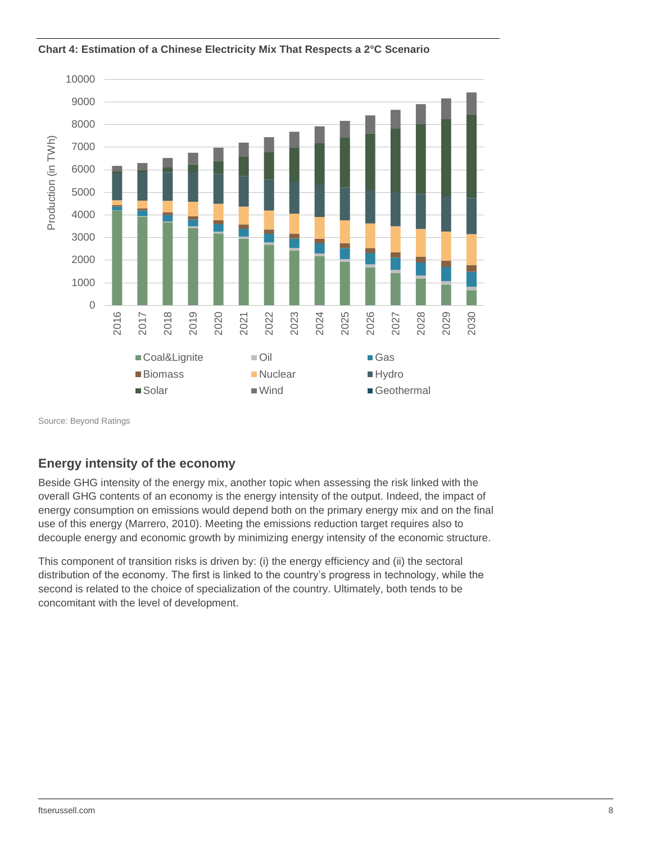

**Chart 4: Estimation of a Chinese Electricity Mix That Respects a 2°C Scenario**

Source: Beyond Ratings

#### <span id="page-7-0"></span>**Energy intensity of the economy**

Beside GHG intensity of the energy mix, another topic when assessing the risk linked with the overall GHG contents of an economy is the energy intensity of the output. Indeed, the impact of energy consumption on emissions would depend both on the primary energy mix and on the final use of this energy (Marrero, 2010). Meeting the emissions reduction target requires also to decouple energy and economic growth by minimizing energy intensity of the economic structure.

This component of transition risks is driven by: (i) the energy efficiency and (ii) the sectoral distribution of the economy. The first is linked to the country's progress in technology, while the second is related to the choice of specialization of the country. Ultimately, both tends to be concomitant with the level of development.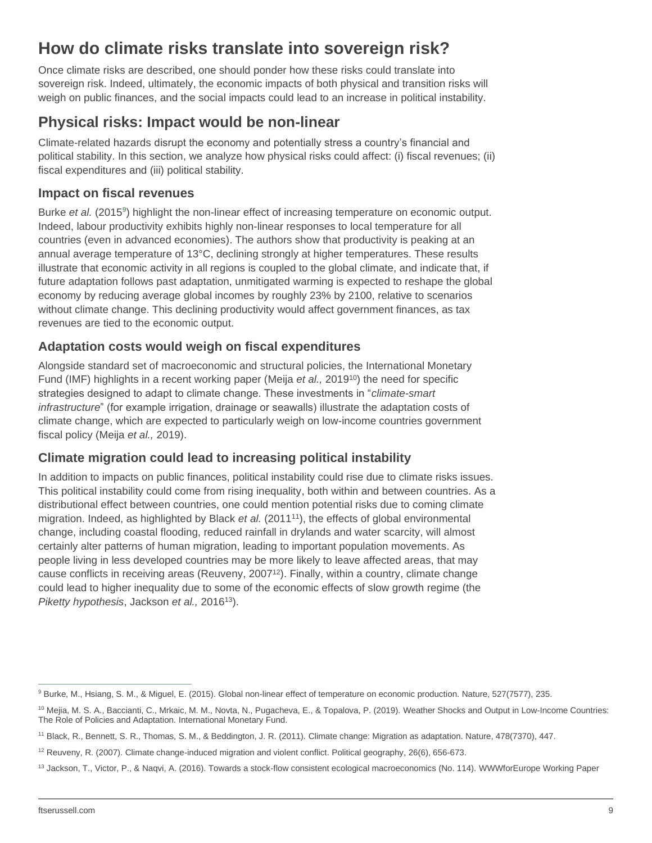## <span id="page-8-0"></span>**How do climate risks translate into sovereign risk?**

Once climate risks are described, one should ponder how these risks could translate into sovereign risk. Indeed, ultimately, the economic impacts of both physical and transition risks will weigh on public finances, and the social impacts could lead to an increase in political instability.

#### <span id="page-8-1"></span>**Physical risks: Impact would be non-linear**

Climate-related hazards disrupt the economy and potentially stress a country's financial and political stability. In this section, we analyze how physical risks could affect: (i) fiscal revenues; (ii) fiscal expenditures and (iii) political stability.

#### <span id="page-8-2"></span>**Impact on fiscal revenues**

Burke *et al.* (2015**<sup>9</sup>** ) highlight the non-linear effect of increasing temperature on economic output. Indeed, labour productivity exhibits highly non-linear responses to local temperature for all countries (even in advanced economies). The authors show that productivity is peaking at an annual average temperature of 13°C, declining strongly at higher temperatures. These results illustrate that economic activity in all regions is coupled to the global climate, and indicate that, if future adaptation follows past adaptation, unmitigated warming is expected to reshape the global economy by reducing average global incomes by roughly 23% by 2100, relative to scenarios without climate change. This declining productivity would affect government finances, as tax revenues are tied to the economic output.

#### <span id="page-8-3"></span>**Adaptation costs would weigh on fiscal expenditures**

Alongside standard set of macroeconomic and structural policies, the International Monetary Fund (IMF) highlights in a recent working paper (Meija *et al.*, 2019<sup>10</sup>) the need for specific strategies designed to adapt to climate change. These investments in "*climate-smart infrastructure*" (for example irrigation, drainage or seawalls) illustrate the adaptation costs of climate change, which are expected to particularly weigh on low-income countries government fiscal policy (Meija *et al.,* 2019).

#### <span id="page-8-4"></span>**Climate migration could lead to increasing political instability**

In addition to impacts on public finances, political instability could rise due to climate risks issues. This political instability could come from rising inequality, both within and between countries. As a distributional effect between countries, one could mention potential risks due to coming climate migration. Indeed, as highlighted by Black *et al.* (2011<sup>11</sup>), the effects of global environmental change, including coastal flooding, reduced rainfall in drylands and water scarcity, will almost certainly alter patterns of human migration, leading to important population movements. As people living in less developed countries may be more likely to leave affected areas, that may cause conflicts in receiving areas (Reuveny, 2007 <sup>12</sup>). Finally, within a country, climate change could lead to higher inequality due to some of the economic effects of slow growth regime (the *Piketty hypothesis*, Jackson *et al.,* 2016<sup>13</sup>).

<sup>9</sup> Burke, M., Hsiang, S. M., & Miguel, E. (2015). Global non-linear effect of temperature on economic production. Nature, 527(7577), 235.

<sup>&</sup>lt;sup>10</sup> Mejia, M. S. A., Baccianti, C., Mrkaic, M. M., Novta, N., Pugacheva, E., & Topalova, P. (2019). Weather Shocks and Output in Low-Income Countries: The Role of Policies and Adaptation. International Monetary Fund.

<sup>11</sup> Black, R., Bennett, S. R., Thomas, S. M., & Beddington, J. R. (2011). Climate change: Migration as adaptation. Nature, 478(7370), 447.

<sup>12</sup> Reuveny, R. (2007). Climate change-induced migration and violent conflict. Political geography, 26(6), 656-673.

<sup>&</sup>lt;sup>13</sup> Jackson, T., Victor, P., & Naqvi, A. (2016). Towards a stock-flow consistent ecological macroeconomics (No. 114). WWWforEurope Working Paper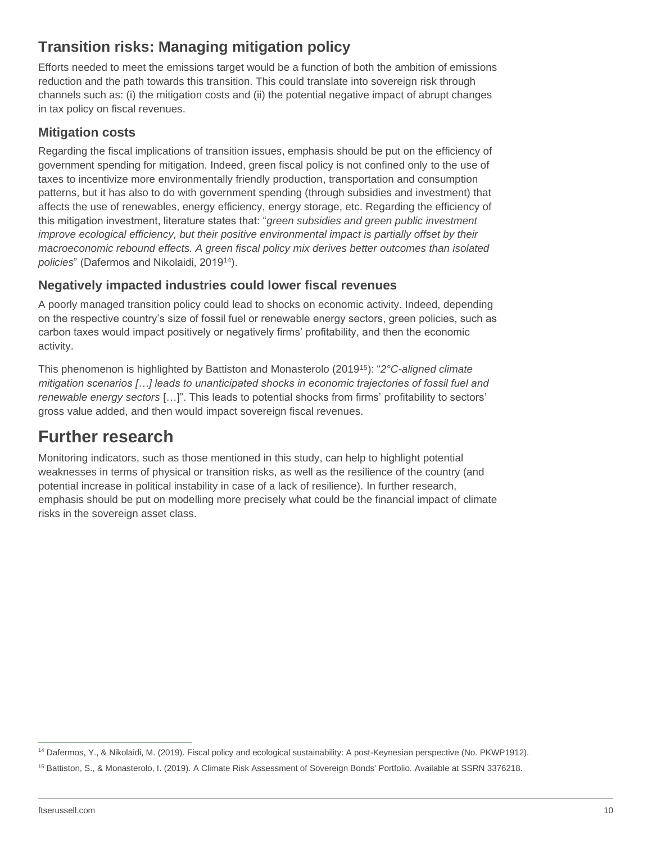### <span id="page-9-0"></span>**Transition risks: Managing mitigation policy**

Efforts needed to meet the emissions target would be a function of both the ambition of emissions reduction and the path towards this transition. This could translate into sovereign risk through channels such as: (i) the mitigation costs and (ii) the potential negative impact of abrupt changes in tax policy on fiscal revenues.

#### <span id="page-9-1"></span>**Mitigation costs**

Regarding the fiscal implications of transition issues, emphasis should be put on the efficiency of government spending for mitigation. Indeed, green fiscal policy is not confined only to the use of taxes to incentivize more environmentally friendly production, transportation and consumption patterns, but it has also to do with government spending (through subsidies and investment) that affects the use of renewables, energy efficiency, energy storage, etc. Regarding the efficiency of this mitigation investment, literature states that: "*green subsidies and green public investment improve ecological efficiency, but their positive environmental impact is partially offset by their macroeconomic rebound effects. A green fiscal policy mix derives better outcomes than isolated policies*" (Dafermos and Nikolaidi, 2019<sup>14</sup>).

#### <span id="page-9-2"></span>**Negatively impacted industries could lower fiscal revenues**

A poorly managed transition policy could lead to shocks on economic activity. Indeed, depending on the respective country's size of fossil fuel or renewable energy sectors, green policies, such as carbon taxes would impact positively or negatively firms' profitability, and then the economic activity.

This phenomenon is highlighted by Battiston and Monasterolo (2019<sup>15</sup>): "*2°C-aligned climate mitigation scenarios […] leads to unanticipated shocks in economic trajectories of fossil fuel and renewable energy sectors* […]". This leads to potential shocks from firms' profitability to sectors' gross value added, and then would impact sovereign fiscal revenues.

## <span id="page-9-3"></span>**Further research**

Monitoring indicators, such as those mentioned in this study, can help to highlight potential weaknesses in terms of physical or transition risks, as well as the resilience of the country (and potential increase in political instability in case of a lack of resilience). In further research, emphasis should be put on modelling more precisely what could be the financial impact of climate risks in the sovereign asset class.

<sup>14</sup> Dafermos, Y., & Nikolaidi, M. (2019). Fiscal policy and ecological sustainability: A post-Keynesian perspective (No. PKWP1912).

<sup>&</sup>lt;sup>15</sup> Battiston, S., & Monasterolo, I. (2019). A Climate Risk Assessment of Sovereign Bonds' Portfolio. Available at SSRN 3376218.